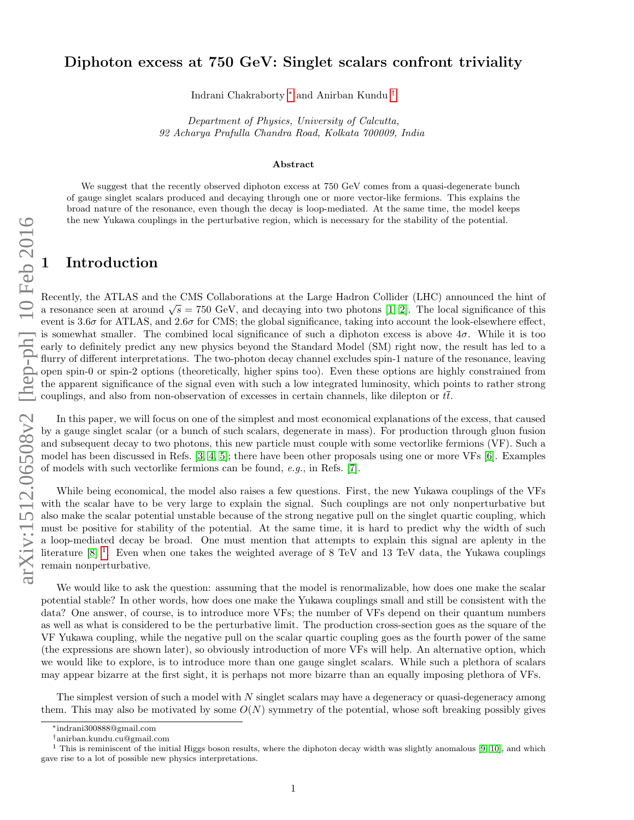## Diphoton excess at 750 GeV: Singlet scalars confront triviality

Indrani Chakraborty [∗](#page-0-0) and Anirban Kundu [†](#page-0-1)

Department of Physics, University of Calcutta, 92 Acharya Prafulla Chandra Road, Kolkata 700009, India

#### Abstract

We suggest that the recently observed diphoton excess at 750 GeV comes from a quasi-degenerate bunch of gauge singlet scalars produced and decaying through one or more vector-like fermions. This explains the broad nature of the resonance, even though the decay is loop-mediated. At the same time, the model keeps the new Yukawa couplings in the perturbative region, which is necessary for the stability of the potential.

# **Introduction**

Recently, the ATLAS and the CMS Collaborations at the Large Hadron Collider (LHC) announced the hint of Executive, the ATLAS and the CMS Conaborations at the Large Hadron Conder (LHC) announced the finit of a resonance seen at around  $\sqrt{s} = 750 \text{ GeV}$ , and decaying into two photons [\[1,](#page-4-0) [2\]](#page-4-1). The local significance of this event is  $3.6\sigma$  for ATLAS, and  $2.6\sigma$  for CMS; the global significance, taking into account the look-elsewhere effect, is somewhat smaller. The combined local significance of such a diphoton excess is above  $4\sigma$ . While it is too early to definitely predict any new physics beyond the Standard Model (SM) right now, the result has led to a flurry of different interpretations. The two-photon decay channel excludes spin-1 nature of the resonance, leaving open spin-0 or spin-2 options (theoretically, higher spins too). Even these options are highly constrained from the apparent significance of the signal even with such a low integrated luminosity, which points to rather strong couplings, and also from non-observation of excesses in certain channels, like dilepton or  $t\bar{t}$ .

In this paper, we will focus on one of the simplest and most economical explanations of the excess, that caused by a gauge singlet scalar (or a bunch of such scalars, degenerate in mass). For production through gluon fusion and subsequent decay to two photons, this new particle must couple with some vectorlike fermions (VF). Such a model has been discussed in Refs. [\[3,](#page-4-2) [4,](#page-5-0) [5\]](#page-5-1); there have been other proposals using one or more VFs [\[6\]](#page-5-2). Examples of models with such vectorlike fermions can be found, e.g., in Refs. [\[7\]](#page-5-3).

While being economical, the model also raises a few questions. First, the new Yukawa couplings of the VFs with the scalar have to be very large to explain the signal. Such couplings are not only nonperturbative but also make the scalar potential unstable because of the strong negative pull on the singlet quartic coupling, which must be positive for stability of the potential. At the same time, it is hard to predict why the width of such a loop-mediated decay be broad. One must mention that attempts to explain this signal are aplenty in the literature  $[8]$ <sup>[1](#page-0-2)</sup>. Even when one takes the weighted average of 8 TeV and 13 TeV data, the Yukawa couplings remain nonperturbative.

We would like to ask the question: assuming that the model is renormalizable, how does one make the scalar potential stable? In other words, how does one make the Yukawa couplings small and still be consistent with the data? One answer, of course, is to introduce more VFs; the number of VFs depend on their quantum numbers as well as what is considered to be the perturbative limit. The production cross-section goes as the square of the VF Yukawa coupling, while the negative pull on the scalar quartic coupling goes as the fourth power of the same (the expressions are shown later), so obviously introduction of more VFs will help. An alternative option, which we would like to explore, is to introduce more than one gauge singlet scalars. While such a plethora of scalars may appear bizarre at the first sight, it is perhaps not more bizarre than an equally imposing plethora of VFs.

The simplest version of such a model with  $N$  singlet scalars may have a degeneracy or quasi-degeneracy among them. This may also be motivated by some  $O(N)$  symmetry of the potential, whose soft breaking possibly gives

<span id="page-0-0"></span><sup>∗</sup>indrani300888@gmail.com

<span id="page-0-2"></span><span id="page-0-1"></span><sup>†</sup>anirban.kundu.cu@gmail.com

<sup>&</sup>lt;sup>1</sup> This is reminiscent of the initial Higgs boson results, where the diphoton decay width was slightly anomalous [\[9,](#page-5-5) [10\]](#page-6-0), and which gave rise to a lot of possible new physics interpretations.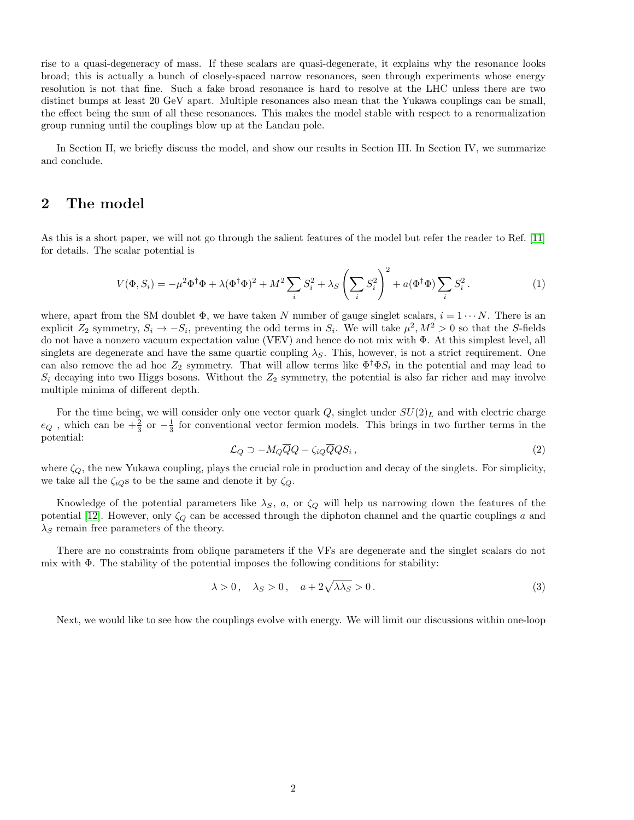rise to a quasi-degeneracy of mass. If these scalars are quasi-degenerate, it explains why the resonance looks broad; this is actually a bunch of closely-spaced narrow resonances, seen through experiments whose energy resolution is not that fine. Such a fake broad resonance is hard to resolve at the LHC unless there are two distinct bumps at least 20 GeV apart. Multiple resonances also mean that the Yukawa couplings can be small, the effect being the sum of all these resonances. This makes the model stable with respect to a renormalization group running until the couplings blow up at the Landau pole.

In Section II, we briefly discuss the model, and show our results in Section III. In Section IV, we summarize and conclude.

## 2 The model

As this is a short paper, we will not go through the salient features of the model but refer the reader to Ref. [\[11\]](#page-6-1) for details. The scalar potential is

$$
V(\Phi, S_i) = -\mu^2 \Phi^\dagger \Phi + \lambda (\Phi^\dagger \Phi)^2 + M^2 \sum_i S_i^2 + \lambda_S \left(\sum_i S_i^2\right)^2 + a(\Phi^\dagger \Phi) \sum_i S_i^2.
$$
 (1)

where, apart from the SM doublet  $\Phi$ , we have taken N number of gauge singlet scalars,  $i = 1 \cdots N$ . There is an explicit  $Z_2$  symmetry,  $S_i \to -S_i$ , preventing the odd terms in  $S_i$ . We will take  $\mu^2$ ,  $M^2 > 0$  so that the S-fields do not have a nonzero vacuum expectation value (VEV) and hence do not mix with Φ. At this simplest level, all singlets are degenerate and have the same quartic coupling  $\lambda_S$ . This, however, is not a strict requirement. One can also remove the ad hoc  $Z_2$  symmetry. That will allow terms like  $\Phi^{\dagger} \Phi S_i$  in the potential and may lead to  $S_i$  decaying into two Higgs bosons. Without the  $Z_2$  symmetry, the potential is also far richer and may involve multiple minima of different depth.

For the time being, we will consider only one vector quark  $Q$ , singlet under  $SU(2)_L$  and with electric charge  $e_Q$ , which can be  $+\frac{2}{3}$  or  $-\frac{1}{3}$  for conventional vector fermion models. This brings in two further terms in the potential:

$$
\mathcal{L}_Q \supset -M_Q \overline{Q}Q - \zeta_{iQ} \overline{Q}QS_i , \qquad (2)
$$

where  $\zeta_{Q}$ , the new Yukawa coupling, plays the crucial role in production and decay of the singlets. For simplicity, we take all the  $\zeta_{iQ}$ s to be the same and denote it by  $\zeta_{Q}$ .

Knowledge of the potential parameters like  $\lambda_S$ , a, or  $\zeta_Q$  will help us narrowing down the features of the potential [\[12\]](#page-6-2). However, only  $\zeta_Q$  can be accessed through the diphoton channel and the quartic couplings a and  $\lambda_S$  remain free parameters of the theory.

There are no constraints from oblique parameters if the VFs are degenerate and the singlet scalars do not mix with  $\Phi$ . The stability of the potential imposes the following conditions for stability:

$$
\lambda > 0, \quad \lambda_S > 0, \quad a + 2\sqrt{\lambda \lambda_S} > 0. \tag{3}
$$

Next, we would like to see how the couplings evolve with energy. We will limit our discussions within one-loop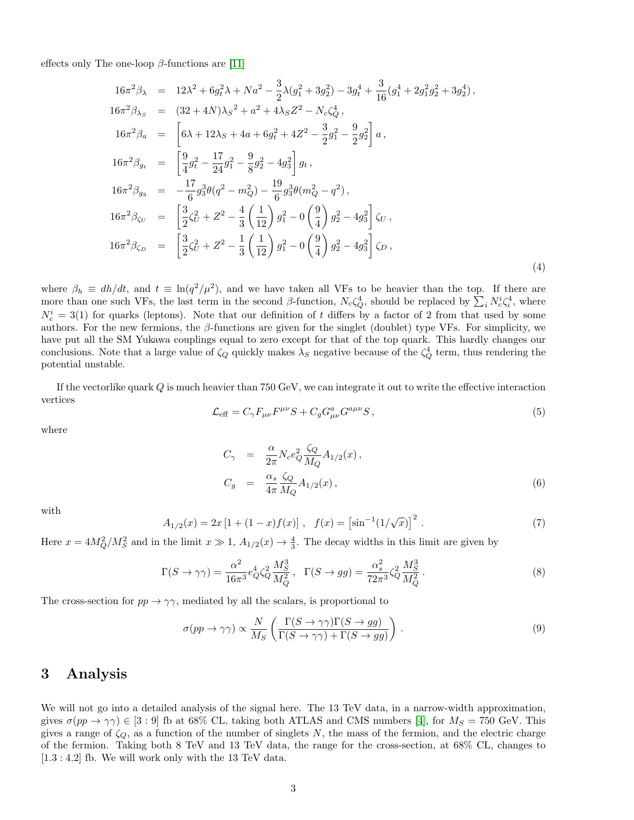effects only The one-loop  $\beta$ -functions are [\[11\]](#page-6-1)

<span id="page-2-0"></span>
$$
16\pi^2 \beta_{\lambda} = 12\lambda^2 + 6g_t^2 \lambda + Na^2 - \frac{3}{2}\lambda(g_1^2 + 3g_2^2) - 3g_t^4 + \frac{3}{16}(g_1^4 + 2g_1^2 g_2^2 + 3g_2^4),
$$
  
\n
$$
16\pi^2 \beta_{\lambda_S} = (32 + 4N)\lambda_S^2 + a^2 + 4\lambda_S Z^2 - N_c \zeta_Q^4,
$$
  
\n
$$
16\pi^2 \beta_a = \left[6\lambda + 12\lambda_S + 4a + 6g_t^2 + 4Z^2 - \frac{3}{2}g_1^2 - \frac{9}{2}g_2^2\right]a,
$$
  
\n
$$
16\pi^2 \beta_{g_t} = \left[\frac{9}{4}g_t^2 - \frac{17}{24}g_1^2 - \frac{9}{8}g_2^2 - 4g_3^2\right]g_t,
$$
  
\n
$$
16\pi^2 \beta_{g_3} = -\frac{17}{6}g_3^3\theta(q^2 - m_Q^2) - \frac{19}{6}g_3^3\theta(m_Q^2 - q^2),
$$
  
\n
$$
16\pi^2 \beta_{\zeta_U} = \left[\frac{3}{2}\zeta_U^2 + Z^2 - \frac{4}{3}\left(\frac{1}{12}\right)g_1^2 - 0\left(\frac{9}{4}\right)g_2^2 - 4g_3^2\right]\zeta_U,
$$
  
\n
$$
16\pi^2 \beta_{\zeta_D} = \left[\frac{3}{2}\zeta_U^2 + Z^2 - \frac{1}{3}\left(\frac{1}{12}\right)g_1^2 - 0\left(\frac{9}{4}\right)g_2^2 - 4g_3^2\right]\zeta_D,
$$
  
\n(4)

where  $\beta_h \equiv dh/dt$ , and  $t \equiv \ln(q^2/\mu^2)$ , and we have taken all VFs to be heavier than the top. If there are more than one such VFs, the last term in the second  $\beta$ -function,  $N_c \zeta_Q^4$ , should be replaced by  $\sum_i N_c^i \zeta_i^4$ , where  $N_c^i = 3(1)$  for quarks (leptons). Note that our definition of t differs by a factor of 2 from that used by some authors. For the new fermions, the  $\beta$ -functions are given for the singlet (doublet) type VFs. For simplicity, we have put all the SM Yukawa couplings equal to zero except for that of the top quark. This hardly changes our conclusions. Note that a large value of  $\zeta_Q$  quickly makes  $\lambda_S$  negative because of the  $\zeta_Q^4$  term, thus rendering the potential unstable.

If the vectorlike quark  $Q$  is much heavier than 750 GeV, we can integrate it out to write the effective interaction vertices

$$
\mathcal{L}_{\text{eff}} = C_{\gamma} F_{\mu\nu} F^{\mu\nu} S + C_g G_{\mu\nu}^a G^{a\mu\nu} S \,, \tag{5}
$$

where

$$
C_{\gamma} = \frac{\alpha}{2\pi} N_c e_Q^2 \frac{\zeta_Q}{M_Q} A_{1/2}(x),
$$
  
\n
$$
C_g = \frac{\alpha_s}{4\pi} \frac{\zeta_Q}{M_Q} A_{1/2}(x),
$$
\n(6)

with

$$
A_{1/2}(x) = 2x [1 + (1 - x)f(x)], \quad f(x) = \left[\sin^{-1}(1/\sqrt{x})\right]^2.
$$
 (7)

Here  $x = 4M_Q^2/M_S^2$  and in the limit  $x \gg 1$ ,  $A_{1/2}(x) \rightarrow \frac{4}{3}$ . The decay widths in this limit are given by

$$
\Gamma(S \to \gamma \gamma) = \frac{\alpha^2}{16\pi^3} e_Q^4 \zeta_Q^2 \frac{M_S^3}{M_Q^2}, \quad \Gamma(S \to gg) = \frac{\alpha_s^2}{72\pi^3} \zeta_Q^2 \frac{M_S^3}{M_Q^2}.
$$
\n(8)

The cross-section for  $pp \to \gamma\gamma$ , mediated by all the scalars, is proportional to

$$
\sigma(pp \to \gamma\gamma) \propto \frac{N}{M_S} \left( \frac{\Gamma(S \to \gamma\gamma)\Gamma(S \to gg)}{\Gamma(S \to \gamma\gamma) + \Gamma(S \to gg)} \right). \tag{9}
$$

# 3 Analysis

We will not go into a detailed analysis of the signal here. The 13 TeV data, in a narrow-width approximation, gives  $\sigma(pp \to \gamma\gamma) \in [3:9]$  fb at 68% CL, taking both ATLAS and CMS numbers [\[4\]](#page-5-0), for  $M_S = 750$  GeV. This gives a range of  $\zeta_Q$ , as a function of the number of singlets N, the mass of the fermion, and the electric charge of the fermion. Taking both 8 TeV and 13 TeV data, the range for the cross-section, at 68% CL, changes to [1.3 : 4.2] fb. We will work only with the 13 TeV data.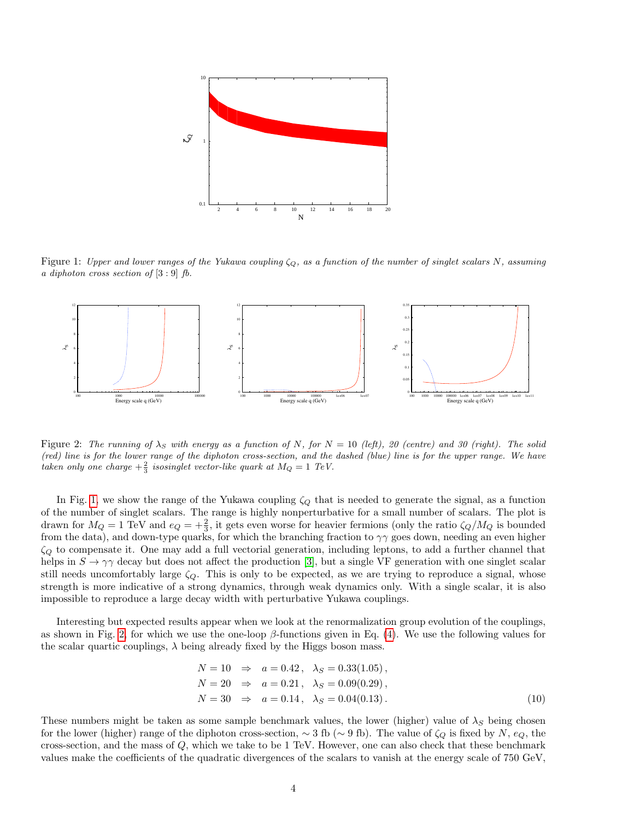

<span id="page-3-0"></span>Figure 1: Upper and lower ranges of the Yukawa coupling  $\zeta_{Q}$ , as a function of the number of singlet scalars N, assuming a diphoton cross section of  $[3:9]$  fb.



<span id="page-3-1"></span>Figure 2: The running of  $\lambda_S$  with energy as a function of N, for  $N = 10$  (left), 20 (centre) and 30 (right). The solid (red) line is for the lower range of the diphoton cross-section, and the dashed (blue) line is for the upper range. We have taken only one charge  $+\frac{2}{3}$  isosinglet vector-like quark at  $M_Q = 1$  TeV.

In Fig. [1,](#page-3-0) we show the range of the Yukawa coupling  $\zeta_Q$  that is needed to generate the signal, as a function of the number of singlet scalars. The range is highly nonperturbative for a small number of scalars. The plot is drawn for  $M_Q = 1$  TeV and  $e_Q = +\frac{2}{3}$ , it gets even worse for heavier fermions (only the ratio  $\zeta_Q/M_Q$  is bounded from the data), and down-type quarks, for which the branching fraction to  $\gamma\gamma$  goes down, needing an even higher  $\zeta_Q$  to compensate it. One may add a full vectorial generation, including leptons, to add a further channel that helps in  $S \to \gamma\gamma$  decay but does not affect the production [\[3\]](#page-4-2), but a single VF generation with one singlet scalar still needs uncomfortably large  $\zeta_Q$ . This is only to be expected, as we are trying to reproduce a signal, whose strength is more indicative of a strong dynamics, through weak dynamics only. With a single scalar, it is also impossible to reproduce a large decay width with perturbative Yukawa couplings.

Interesting but expected results appear when we look at the renormalization group evolution of the couplings, as shown in Fig. [2,](#page-3-1) for which we use the one-loop  $\beta$ -functions given in Eq. [\(4\)](#page-2-0). We use the following values for the scalar quartic couplings,  $\lambda$  being already fixed by the Higgs boson mass.

$$
N = 10 \Rightarrow a = 0.42, \quad \lambda_S = 0.33(1.05), \nN = 20 \Rightarrow a = 0.21, \quad \lambda_S = 0.09(0.29), \nN = 30 \Rightarrow a = 0.14, \quad \lambda_S = 0.04(0.13).
$$
\n(10)

These numbers might be taken as some sample benchmark values, the lower (higher) value of  $\lambda_S$  being chosen for the lower (higher) range of the diphoton cross-section,  $\sim$  3 fb ( $\sim$  9 fb). The value of  $\zeta_Q$  is fixed by N,  $e_Q$ , the cross-section, and the mass of  $Q$ , which we take to be 1 TeV. However, one can also check that these benchmark values make the coefficients of the quadratic divergences of the scalars to vanish at the energy scale of 750 GeV,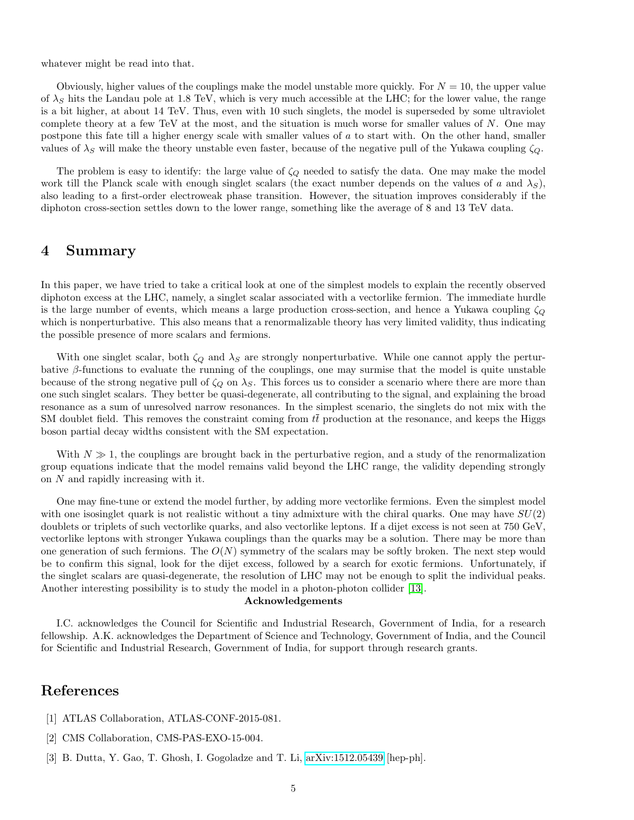whatever might be read into that.

Obviously, higher values of the couplings make the model unstable more quickly. For  $N = 10$ , the upper value of  $\lambda_S$  hits the Landau pole at 1.8 TeV, which is very much accessible at the LHC; for the lower value, the range is a bit higher, at about 14 TeV. Thus, even with 10 such singlets, the model is superseded by some ultraviolet complete theory at a few TeV at the most, and the situation is much worse for smaller values of N. One may postpone this fate till a higher energy scale with smaller values of a to start with. On the other hand, smaller values of  $\lambda_S$  will make the theory unstable even faster, because of the negative pull of the Yukawa coupling  $\zeta_Q$ .

The problem is easy to identify: the large value of  $\zeta_{Q}$  needed to satisfy the data. One may make the model work till the Planck scale with enough singlet scalars (the exact number depends on the values of a and  $\lambda_S$ ), also leading to a first-order electroweak phase transition. However, the situation improves considerably if the diphoton cross-section settles down to the lower range, something like the average of 8 and 13 TeV data.

### 4 Summary

In this paper, we have tried to take a critical look at one of the simplest models to explain the recently observed diphoton excess at the LHC, namely, a singlet scalar associated with a vectorlike fermion. The immediate hurdle is the large number of events, which means a large production cross-section, and hence a Yukawa coupling  $\zeta_{\Omega}$ which is nonperturbative. This also means that a renormalizable theory has very limited validity, thus indicating the possible presence of more scalars and fermions.

With one singlet scalar, both  $\zeta_Q$  and  $\lambda_S$  are strongly nonperturbative. While one cannot apply the perturbative β-functions to evaluate the running of the couplings, one may surmise that the model is quite unstable because of the strong negative pull of  $\zeta_{\mathcal{O}}$  on  $\lambda_{\mathcal{S}}$ . This forces us to consider a scenario where there are more than one such singlet scalars. They better be quasi-degenerate, all contributing to the signal, and explaining the broad resonance as a sum of unresolved narrow resonances. In the simplest scenario, the singlets do not mix with the SM doublet field. This removes the constraint coming from  $t\bar{t}$  production at the resonance, and keeps the Higgs boson partial decay widths consistent with the SM expectation.

With  $N \gg 1$ , the couplings are brought back in the perturbative region, and a study of the renormalization group equations indicate that the model remains valid beyond the LHC range, the validity depending strongly on N and rapidly increasing with it.

One may fine-tune or extend the model further, by adding more vectorlike fermions. Even the simplest model with one isosinglet quark is not realistic without a tiny admixture with the chiral quarks. One may have  $SU(2)$ doublets or triplets of such vectorlike quarks, and also vectorlike leptons. If a dijet excess is not seen at 750 GeV, vectorlike leptons with stronger Yukawa couplings than the quarks may be a solution. There may be more than one generation of such fermions. The  $O(N)$  symmetry of the scalars may be softly broken. The next step would be to confirm this signal, look for the dijet excess, followed by a search for exotic fermions. Unfortunately, if the singlet scalars are quasi-degenerate, the resolution of LHC may not be enough to split the individual peaks. Another interesting possibility is to study the model in a photon-photon collider [\[13\]](#page-6-3).

#### Acknowledgements

I.C. acknowledges the Council for Scientific and Industrial Research, Government of India, for a research fellowship. A.K. acknowledges the Department of Science and Technology, Government of India, and the Council for Scientific and Industrial Research, Government of India, for support through research grants.

# References

- <span id="page-4-0"></span>[1] ATLAS Collaboration, ATLAS-CONF-2015-081.
- <span id="page-4-1"></span>[2] CMS Collaboration, CMS-PAS-EXO-15-004.
- <span id="page-4-2"></span>[3] B. Dutta, Y. Gao, T. Ghosh, I. Gogoladze and T. Li, [arXiv:1512.05439](http://arxiv.org/abs/1512.05439) [hep-ph].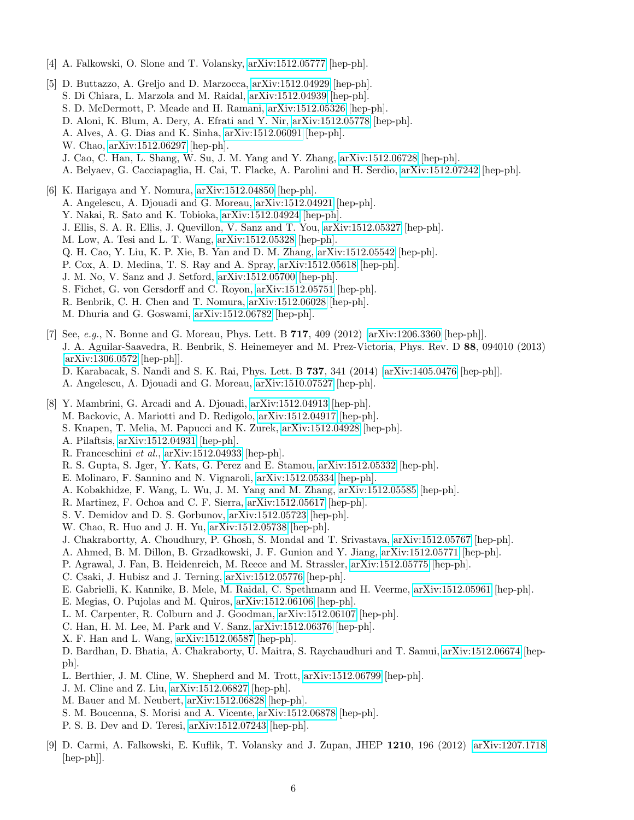- <span id="page-5-0"></span>[4] A. Falkowski, O. Slone and T. Volansky, [arXiv:1512.05777](http://arxiv.org/abs/1512.05777) [hep-ph].
- <span id="page-5-1"></span>[5] D. Buttazzo, A. Greljo and D. Marzocca, [arXiv:1512.04929](http://arxiv.org/abs/1512.04929) [hep-ph]. S. Di Chiara, L. Marzola and M. Raidal, [arXiv:1512.04939](http://arxiv.org/abs/1512.04939) [hep-ph]. S. D. McDermott, P. Meade and H. Ramani, [arXiv:1512.05326](http://arxiv.org/abs/1512.05326) [hep-ph]. D. Aloni, K. Blum, A. Dery, A. Efrati and Y. Nir, [arXiv:1512.05778](http://arxiv.org/abs/1512.05778) [hep-ph]. A. Alves, A. G. Dias and K. Sinha, [arXiv:1512.06091](http://arxiv.org/abs/1512.06091) [hep-ph]. W. Chao, [arXiv:1512.06297](http://arxiv.org/abs/1512.06297) [hep-ph]. J. Cao, C. Han, L. Shang, W. Su, J. M. Yang and Y. Zhang, [arXiv:1512.06728](http://arxiv.org/abs/1512.06728) [hep-ph]. A. Belyaev, G. Cacciapaglia, H. Cai, T. Flacke, A. Parolini and H. Serdio, [arXiv:1512.07242](http://arxiv.org/abs/1512.07242) [hep-ph].
- <span id="page-5-2"></span>[6] K. Harigaya and Y. Nomura, [arXiv:1512.04850](http://arxiv.org/abs/1512.04850) [hep-ph]. A. Angelescu, A. Djouadi and G. Moreau, [arXiv:1512.04921](http://arxiv.org/abs/1512.04921) [hep-ph]. Y. Nakai, R. Sato and K. Tobioka, [arXiv:1512.04924](http://arxiv.org/abs/1512.04924) [hep-ph]. J. Ellis, S. A. R. Ellis, J. Quevillon, V. Sanz and T. You, [arXiv:1512.05327](http://arxiv.org/abs/1512.05327) [hep-ph]. M. Low, A. Tesi and L. T. Wang, [arXiv:1512.05328](http://arxiv.org/abs/1512.05328) [hep-ph]. Q. H. Cao, Y. Liu, K. P. Xie, B. Yan and D. M. Zhang, [arXiv:1512.05542](http://arxiv.org/abs/1512.05542) [hep-ph]. P. Cox, A. D. Medina, T. S. Ray and A. Spray, [arXiv:1512.05618](http://arxiv.org/abs/1512.05618) [hep-ph]. J. M. No, V. Sanz and J. Setford, [arXiv:1512.05700](http://arxiv.org/abs/1512.05700) [hep-ph].
	-
	- S. Fichet, G. von Gersdorff and C. Royon, [arXiv:1512.05751](http://arxiv.org/abs/1512.05751) [hep-ph].
	- R. Benbrik, C. H. Chen and T. Nomura, [arXiv:1512.06028](http://arxiv.org/abs/1512.06028) [hep-ph].
	- M. Dhuria and G. Goswami, [arXiv:1512.06782](http://arxiv.org/abs/1512.06782) [hep-ph].

<span id="page-5-3"></span>[7] See, e.g., N. Bonne and G. Moreau, Phys. Lett. B  $717$ , 409 (2012) [\[arXiv:1206.3360](http://arxiv.org/abs/1206.3360) [hep-ph]]. J. A. Aguilar-Saavedra, R. Benbrik, S. Heinemeyer and M. Prez-Victoria, Phys. Rev. D 88, 094010 (2013) [\[arXiv:1306.0572](http://arxiv.org/abs/1306.0572) [hep-ph]]. D. Karabacak, S. Nandi and S. K. Rai, Phys. Lett. B 737, 341 (2014) [\[arXiv:1405.0476](http://arxiv.org/abs/1405.0476) [hep-ph]].

- A. Angelescu, A. Djouadi and G. Moreau, [arXiv:1510.07527](http://arxiv.org/abs/1510.07527) [hep-ph].
- <span id="page-5-4"></span>[8] Y. Mambrini, G. Arcadi and A. Djouadi, [arXiv:1512.04913](http://arxiv.org/abs/1512.04913) [hep-ph]. M. Backovic, A. Mariotti and D. Redigolo, [arXiv:1512.04917](http://arxiv.org/abs/1512.04917) [hep-ph].
	- S. Knapen, T. Melia, M. Papucci and K. Zurek, [arXiv:1512.04928](http://arxiv.org/abs/1512.04928) [hep-ph].
	- A. Pilaftsis, [arXiv:1512.04931](http://arxiv.org/abs/1512.04931) [hep-ph].
	- R. Franceschini et al., [arXiv:1512.04933](http://arxiv.org/abs/1512.04933) [hep-ph].
	- R. S. Gupta, S. Jger, Y. Kats, G. Perez and E. Stamou, [arXiv:1512.05332](http://arxiv.org/abs/1512.05332) [hep-ph].
	- E. Molinaro, F. Sannino and N. Vignaroli, [arXiv:1512.05334](http://arxiv.org/abs/1512.05334) [hep-ph].
	- A. Kobakhidze, F. Wang, L. Wu, J. M. Yang and M. Zhang, [arXiv:1512.05585](http://arxiv.org/abs/1512.05585) [hep-ph].
	- R. Martinez, F. Ochoa and C. F. Sierra, [arXiv:1512.05617](http://arxiv.org/abs/1512.05617) [hep-ph].
	- S. V. Demidov and D. S. Gorbunov, [arXiv:1512.05723](http://arxiv.org/abs/1512.05723) [hep-ph].
	- W. Chao, R. Huo and J. H. Yu, [arXiv:1512.05738](http://arxiv.org/abs/1512.05738) [hep-ph].
	- J. Chakrabortty, A. Choudhury, P. Ghosh, S. Mondal and T. Srivastava, [arXiv:1512.05767](http://arxiv.org/abs/1512.05767) [hep-ph].
	- A. Ahmed, B. M. Dillon, B. Grzadkowski, J. F. Gunion and Y. Jiang, [arXiv:1512.05771](http://arxiv.org/abs/1512.05771) [hep-ph].
	- P. Agrawal, J. Fan, B. Heidenreich, M. Reece and M. Strassler, [arXiv:1512.05775](http://arxiv.org/abs/1512.05775) [hep-ph].
	- C. Csaki, J. Hubisz and J. Terning, [arXiv:1512.05776](http://arxiv.org/abs/1512.05776) [hep-ph].
	- E. Gabrielli, K. Kannike, B. Mele, M. Raidal, C. Spethmann and H. Veerme, [arXiv:1512.05961](http://arxiv.org/abs/1512.05961) [hep-ph].
	- E. Megias, O. Pujolas and M. Quiros, [arXiv:1512.06106](http://arxiv.org/abs/1512.06106) [hep-ph].
	- L. M. Carpenter, R. Colburn and J. Goodman, [arXiv:1512.06107](http://arxiv.org/abs/1512.06107) [hep-ph].
	- C. Han, H. M. Lee, M. Park and V. Sanz, [arXiv:1512.06376](http://arxiv.org/abs/1512.06376) [hep-ph].
	- X. F. Han and L. Wang, [arXiv:1512.06587](http://arxiv.org/abs/1512.06587) [hep-ph].
	- D. Bardhan, D. Bhatia, A. Chakraborty, U. Maitra, S. Raychaudhuri and T. Samui, [arXiv:1512.06674](http://arxiv.org/abs/1512.06674) [hepph].
	- L. Berthier, J. M. Cline, W. Shepherd and M. Trott, [arXiv:1512.06799](http://arxiv.org/abs/1512.06799) [hep-ph].
	- J. M. Cline and Z. Liu, [arXiv:1512.06827](http://arxiv.org/abs/1512.06827) [hep-ph].
	- M. Bauer and M. Neubert, [arXiv:1512.06828](http://arxiv.org/abs/1512.06828) [hep-ph].
	- S. M. Boucenna, S. Morisi and A. Vicente, [arXiv:1512.06878](http://arxiv.org/abs/1512.06878) [hep-ph].
	- P. S. B. Dev and D. Teresi, [arXiv:1512.07243](http://arxiv.org/abs/1512.07243) [hep-ph].
- <span id="page-5-5"></span>[9] D. Carmi, A. Falkowski, E. Kuflik, T. Volansky and J. Zupan, JHEP 1210, 196 (2012) [\[arXiv:1207.1718](http://arxiv.org/abs/1207.1718) [hep-ph]].